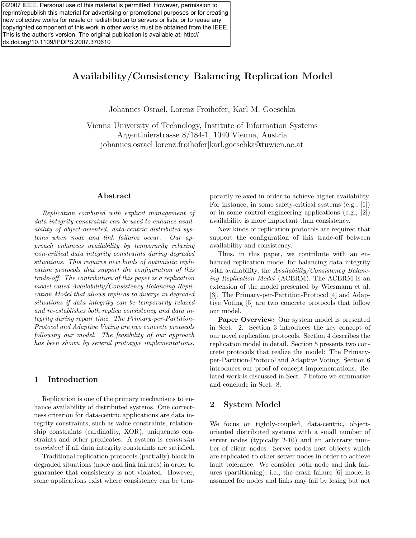©2007 IEEE. Personal use of this material is permitted. However, permission to reprint/republish this material for advertising or promotional purposes or for creating new collective works for resale or redistribution to servers or lists, or to reuse any copyrighted component of this work in other works must be obtained from the IEEE. This is the author's version. The original publication is available at: http:// dx.doi.org/10.1109/IPDPS.2007.370610

# **Availability/Consistency Balancing Replication Model**

Johannes Osrael, Lorenz Froihofer, Karl M. Goeschka

Vienna University of Technology, Institute of Information Systems<br>Argentinierstrasse 8/184-1, 1040 Vienna, Austria  $\frac{1}{2}$ johannes.osrael*|*lorenz.froihofer*|*karl.goeschka@tuwien.ac.at

#### **Abstract**

*Replication combined with explicit management of data integrity constraints can be used to enhance availability of object-oriented, data-centric distributed systems when node and link failures occur. Our approach enhances availability by temporarily relaxing non-critical data integrity constraints during degraded situations. This requires new kinds of optimistic replication protocols that support the configuration of this trade-off. The contribution of this paper is a replication model called Availability/Consistency Balancing Replication Model that allows replicas to diverge in degraded situations if data integrity can be temporarily relaxed and re-establishes both replica consistency and data integrity during repair time. The Primary-per-Partition-Protocol and Adaptive Voting are two concrete protocols following our model. The feasibility of our approach has been shown by several prototype implementations.*

#### **1 Introduction**

Replication is one of the primary mechanisms to enhance availability of distributed systems. One correctness criterion for data-centric applications are data integrity constraints, such as value constraints, relationship constraints (cardinality, XOR), uniqueness constraints and other predicates. A system is *constraint consistent* if all data integrity constraints are satisfied.

Traditional replication protocols (partially) block in degraded situations (node and link failures) in order to guarantee that consistency is not violated. However, some applications exist where consistency can be temporarily relaxed in order to achieve higher availability. For instance, in some safety-critical systems (e.g., [1]) or in some control engineering applications (e.g., [2]) availability is more important than consistency.

New kinds of replication protocols are required that support the configuration of this trade-off between availability and consistency.

Thus, in this paper, we contribute with an enhanced replication model for balancing data integrity with availability, the *Availability/Consistency Balancing Replication Model* (ACBRM). The ACBRM is an extension of the model presented by Wiesmann et al. [3]. The Primary-per-Partition-Protocol [4] and Adaptive Voting [5] are two concrete protocols that follow our model.

**Paper Overview:** Our system model is presented in Sect. 2. Section 3 introduces the key concept of our novel replication protocols. Section 4 describes the replication model in detail. Section 5 presents two concrete protocols that realize the model: The Primaryper-Partition-Protocol and Adaptive Voting. Section 6 introduces our proof of concept implementations. Related work is discussed in Sect. 7 before we summarize and conclude in Sect. 8.

## **2 System Model**

We focus on tightly-coupled, data-centric, objectoriented distributed systems with a small number of server nodes (typically 2-10) and an arbitrary number of client nodes. Server nodes host objects which are replicated to other server nodes in order to achieve fault tolerance. We consider both node and link failures (partitioning), i.e., the crash failure [6] model is assumed for nodes and links may fail by losing but not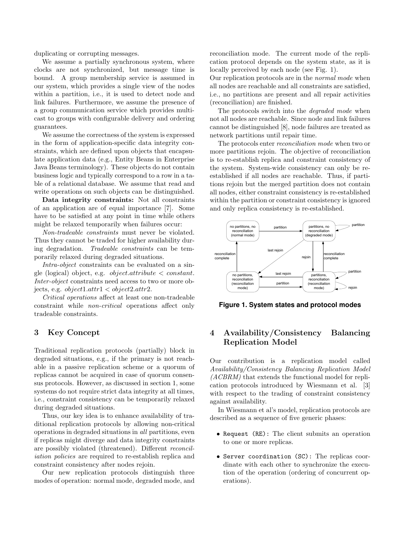duplicating or corrupting messages.

We assume a partially synchronous system, where clocks are not synchronized, but message time is bound. A group membership service is assumed in our system, which provides a single view of the nodes within a partition, i.e., it is used to detect node and link failures. Furthermore, we assume the presence of a group communication service which provides multicast to groups with configurable delivery and ordering guarantees.

We assume the correctness of the system is expressed in the form of application-specific data integrity constraints, which are defined upon objects that encapsulate application data (e.g., Entity Beans in Enterprise Java Beans terminology). These objects do not contain business logic and typically correspond to a row in a table of a relational database. We assume that read and write operations on such objects can be distinguished.

**Data integrity constraints:** Not all constraints of an application are of equal importance [7]. Some have to be satisfied at any point in time while others might be relaxed temporarily when failures occur:

*Non-tradeable constraints* must never be violated. Thus they cannot be traded for higher availability during degradation. *Tradeable constraints* can be temporarily relaxed during degraded situations.

*Intra-object* constraints can be evaluated on a single (logical) object, e.g. *object.attribute < constant*. *Inter-object* constraints need access to two or more objects, e.g. *object*1*.attr*1 *< object*2*.attr*2.

*Critical operations* affect at least one non-tradeable constraint while *non-critical* operations affect only tradeable constraints.

## **3 Key Concept**

Traditional replication protocols (partially) block in degraded situations, e.g., if the primary is not reachable in a passive replication scheme or a quorum of replicas cannot be acquired in case of quorum consensus protocols. However, as discussed in section 1, some systems do not require strict data integrity at all times, i.e., constraint consistency can be temporarily relaxed during degraded situations.

Thus, our key idea is to enhance availability of traditional replication protocols by allowing non-critical operations in degraded situations in *all* partitions, even if replicas might diverge and data integrity constraints are possibly violated (threatened). Different *reconciliation policies* are required to re-establish replica and constraint consistency after nodes rejoin.

Our new replication protocols distinguish three modes of operation: normal mode, degraded mode, and reconciliation mode. The current mode of the replication protocol depends on the system state, as it is locally perceived by each node (see Fig. 1).

Our replication protocols are in the *normal mode* when all nodes are reachable and all constraints are satisfied, i.e., no partitions are present and all repair activities (reconciliation) are finished.

The protocols switch into the *degraded mode* when not all nodes are reachable. Since node and link failures cannot be distinguished [8], node failures are treated as network partitions until repair time.

The protocols enter *reconciliation mode* when two or more partitions rejoin. The objective of reconciliation is to re-establish replica and constraint consistency of the system. System-wide consistency can only be reestablished if all nodes are reachable. Thus, if partitions rejoin but the merged partition does not contain all nodes, either constraint consistency is re-established within the partition or constraint consistency is ignored and only replica consistency is re-established.



**Figure 1. System states and protocol modes**

## **4 Availability/Consistency Balancing Replication Model**

Our contribution is a replication model called *Availability/Consistency Balancing Replication Model (ACBRM)* that extends the functional model for replication protocols introduced by Wiesmann et al. [3] with respect to the trading of constraint consistency against availability.

In Wiesmann et al's model, replication protocols are described as a sequence of five generic phases:

- *•* Request (RE): The client submits an operation to one or more replicas.
- *•* Server coordination (SC): The replicas coordinate with each other to synchronize the execution of the operation (ordering of concurrent operations).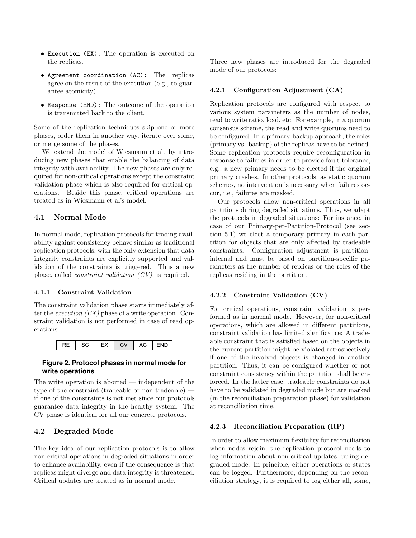- *•* Execution (EX): The operation is executed on the replicas.
- *•* Agreement coordination (AC): The replicas agree on the result of the execution (e.g., to guarantee atomicity).
- *•* Response (END): The outcome of the operation is transmitted back to the client.

Some of the replication techniques skip one or more phases, order them in another way, iterate over some, or merge some of the phases.

We extend the model of Wiesmann et al. by introducing new phases that enable the balancing of data integrity with availability. The new phases are only required for non-critical operations except the constraint validation phase which is also required for critical operations. Beside this phase, critical operations are treated as in Wiesmann et al's model.

## **4.1 Normal Mode**

In normal mode, replication protocols for trading availability against consistency behave similar as traditional replication protocols, with the only extension that data integrity constraints are explicitly supported and validation of the constraints is triggered. Thus a new phase, called *constraint validation (CV)*, is required.

#### **4.1.1 Constraint Validation**

The constraint validation phase starts immediately after the *execution (EX)* phase of a write operation. Constraint validation is not performed in case of read operations.



#### **Figure 2. Protocol phases in normal mode for write operations**

The write operation is aborted — independent of the type of the constraint (tradeable or non-tradeable) if one of the constraints is not met since our protocols guarantee data integrity in the healthy system. The CV phase is identical for all our concrete protocols.

#### **4.2 Degraded Mode**

The key idea of our replication protocols is to allow non-critical operations in degraded situations in order to enhance availability, even if the consequence is that replicas might diverge and data integrity is threatened. Critical updates are treated as in normal mode.

Three new phases are introduced for the degraded mode of our protocols:

#### **4.2.1 Configuration Adjustment (CA)**

Replication protocols are configured with respect to various system parameters as the number of nodes, read to write ratio, load, etc. For example, in a quorum consensus scheme, the read and write quorums need to be configured. In a primary-backup approach, the roles (primary vs. backup) of the replicas have to be defined. Some replication protocols require reconfiguration in response to failures in order to provide fault tolerance, e.g., a new primary needs to be elected if the original primary crashes. In other protocols, as static quorum schemes, no intervention is necessary when failures occur, i.e., failures are masked.

Our protocols allow non-critical operations in all partitions during degraded situations. Thus, we adapt the protocols in degraded situations: For instance, in case of our Primary-per-Partition-Protocol (see section 5.1) we elect a temporary primary in each partition for objects that are only affected by tradeable constraints. Configuration adjustment is partitioninternal and must be based on partition-specific parameters as the number of replicas or the roles of the replicas residing in the partition.

#### **4.2.2 Constraint Validation (CV)**

For critical operations, constraint validation is performed as in normal mode. However, for non-critical operations, which are allowed in different partitions, constraint validation has limited significance: A tradeable constraint that is satisfied based on the objects in the current partition might be violated retrospectively if one of the involved objects is changed in another partition. Thus, it can be configured whether or not constraint consistency within the partition shall be enforced. In the latter case, tradeable constraints do not have to be validated in degraded mode but are marked (in the reconciliation preparation phase) for validation at reconciliation time.

#### **4.2.3 Reconciliation Preparation (RP)**

In order to allow maximum flexibility for reconciliation when nodes rejoin, the replication protocol needs to log information about non-critical updates during degraded mode. In principle, either operations or states can be logged. Furthermore, depending on the reconciliation strategy, it is required to log either all, some,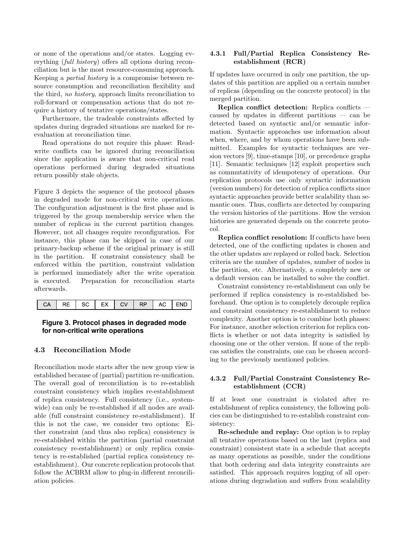or none of the operations and/or states. Logging everything (*full history*) offers all options during reconciliation but is the most resource-consuming approach. Keeping a *partial history* is a compromise between resource consumption and reconciliation flexibility and the third, *no history*, approach limits reconciliation to roll-forward or compensation actions that do not require a history of tentative operations/states.

Furthermore, the tradeable constraints affected by updates during degraded situations are marked for reevaluation at reconciliation time.

Read operations do not require this phase: Readwrite conflicts can be ignored during reconciliation since the application is aware that non-critical read operations performed during degraded situations return possibly stale objects.

Figure 3 depicts the sequence of the protocol phases in degraded mode for non-critical write operations. The configuration adjustment is the first phase and is triggered by the group membership service when the number of replicas in the current partition changes. However, not all changes require reconfiguration. For instance, this phase can be skipped in case of our primary-backup scheme if the original primary is still in the partition. If constraint consistency shall be enforced within the partition, constraint validation is performed immediately after the write operation is executed. Preparation for reconciliation starts afterwards.

### **Figure 3. Protocol phases in degraded mode for non-critical write operations**

## **4.3 Reconciliation Mode**

Reconciliation mode starts after the new group view is established because of (partial) partition re-unification. The overall goal of reconciliation is to re-establish constraint consistency which implies re-establishment of replica consistency. Full consistency (i.e., systemwide) can only be re-established if all nodes are available (full constraint consistency re-establishment). If this is not the case, we consider two options: Either constraint (and thus also replica) consistency is re-established within the partition (partial constraint consistency re-establishment) or only replica consistency is re-established (partial replica consistency reestablishment). Our concrete replication protocols that follow the ACBRM allow to plug-in different reconciliation policies.

## **4.3.1 Full/Partial Replica Consistency Reestablishment (RCR)**

If updates have occurred in only one partition, the updates of this partition are applied on a certain number of replicas (depending on the concrete protocol) in the merged partition.

**Replica conflict detection:** Replica conflicts caused by updates in different partitions — can be detected based on syntactic and/or semantic information. Syntactic approaches use information about when, where, and by whom operations have been submitted. Examples for syntactic techniques are version vectors [9], time-stamps [10], or precedence graphs [11]. Semantic techniques [12] exploit properties such as commutativity of idempotency of operations. Our replication protocols use only syntactic information (version numbers) for detection of replica conflicts since syntactic approaches provide better scalability than semantic ones. Thus, conflicts are detected by comparing the version histories of the partitions. How the version histories are generated depends on the concrete protocol.

**Replica conflict resolution:** If conflicts have been detected, one of the conflicting updates is chosen and the other updates are replayed or rolled back. Selection criteria are the number of updates, number of nodes in the partition, etc. Alternatively, a completely new or a default version can be installed to solve the conflict.

Constraint consistency re-establishment can only be performed if replica consistency is re-established beforehand. One option is to completely decouple replica and constraint consistency re-establishment to reduce complexity. Another option is to combine both phases: For instance, another selection criterion for replica conflicts is whether or not data integrity is satisfied by choosing one or the other version. If none of the replicas satisfies the constraints, one can be chosen according to the previously mentioned policies.

### **4.3.2 Full/Partial Constraint Consistency Reestablishment (CCR)**

If at least one constraint is violated after reestablishment of replica consistency, the following policies can be distinguished to re-establish constraint consistency:

**Re-schedule and replay:** One option is to replay all tentative operations based on the last (replica and constraint) consistent state in a schedule that accepts as many operations as possible, under the conditions that both ordering and data integrity constraints are satisfied. This approach requires logging of all operations during degradation and suffers from scalability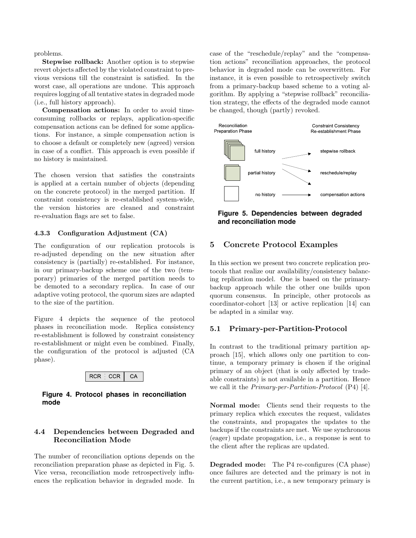problems.

**Stepwise rollback:** Another option is to stepwise revert objects affected by the violated constraint to previous versions till the constraint is satisfied. In the worst case, all operations are undone. This approach requires logging of all tentative states in degraded mode (i.e., full history approach).

**Compensation actions:** In order to avoid timeconsuming rollbacks or replays, application-specific compensation actions can be defined for some applications. For instance, a simple compensation action is to choose a default or completely new (agreed) version in case of a conflict. This approach is even possible if no history is maintained.

The chosen version that satisfies the constraints is applied at a certain number of objects (depending on the concrete protocol) in the merged partition. If constraint consistency is re-established system-wide, the version histories are cleaned and constraint re-evaluation flags are set to false.

#### **4.3.3 Configuration Adjustment (CA)**

The configuration of our replication protocols is re-adjusted depending on the new situation after consistency is (partially) re-established. For instance, in our primary-backup scheme one of the two (temporary) primaries of the merged partition needs to be demoted to a secondary replica. In case of our adaptive voting protocol, the quorum sizes are adapted to the size of the partition.

Figure 4 depicts the sequence of the protocol phases in reconciliation mode. Replica consistency re-establishment is followed by constraint consistency re-establishment or might even be combined. Finally, the configuration of the protocol is adjusted (CA phase).



**Figure 4. Protocol phases in reconciliation mode**

## **4.4 Dependencies between Degraded and Reconciliation Mode**

The number of reconciliation options depends on the reconciliation preparation phase as depicted in Fig. 5. Vice versa, reconciliation mode retrospectively influences the replication behavior in degraded mode. In case of the "reschedule/replay" and the "compensation actions" reconciliation approaches, the protocol behavior in degraded mode can be overwritten. For instance, it is even possible to retrospectively switch from a primary-backup based scheme to a voting algorithm. By applying a "stepwise rollback" reconciliation strategy, the effects of the degraded mode cannot be changed, though (partly) revoked.



**Figure 5. Dependencies between degraded and reconciliation mode**

## **5 Concrete Protocol Examples**

In this section we present two concrete replication protocols that realize our availability/consistency balancing replication model. One is based on the primarybackup approach while the other one builds upon quorum consensus. In principle, other protocols as coordinator-cohort [13] or active replication [14] can be adapted in a similar way.

## **5.1 Primary-per-Partition-Protocol**

In contrast to the traditional primary partition approach [15], which allows only one partition to continue, a temporary primary is chosen if the original primary of an object (that is only affected by tradeable constraints) is not available in a partition. Hence we call it the *Primary-per-Partition-Protocol* (P4) [4].

**Normal mode:** Clients send their requests to the primary replica which executes the request, validates the constraints, and propagates the updates to the backups if the constraints are met. We use synchronous (eager) update propagation, i.e., a response is sent to the client after the replicas are updated.

**Degraded mode:** The P4 re-configures (CA phase) once failures are detected and the primary is not in the current partition, i.e., a new temporary primary is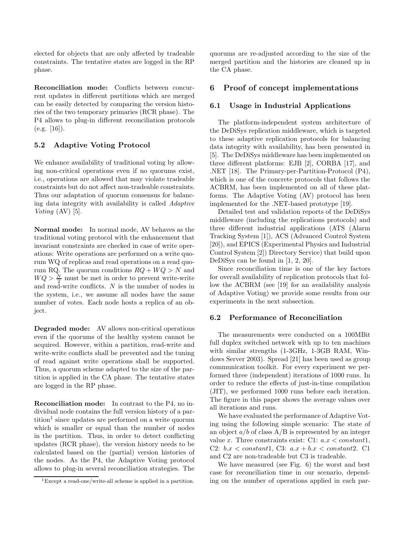elected for objects that are only affected by tradeable constraints. The tentative states are logged in the RP phase.

**Reconciliation mode:** Conflicts between concurrent updates in different partitions which are merged can be easily detected by comparing the version histories of the two temporary primaries (RCR phase). The P4 allows to plug-in different reconciliation protocols  $(e.g. [16]).$ 

## **5.2 Adaptive Voting Protocol**

We enhance availability of traditional voting by allowing non-critical operations even if no quorums exist, i.e., operations are allowed that may violate tradeable constraints but do not affect non-tradeable constraints. Thus our adaptation of quorum consensus for balancing data integrity with availability is called *Adaptive Voting* (AV) [5].

**Normal mode:** In normal mode, AV behaves as the traditional voting protocol with the enhancement that invariant constraints are checked in case of write operations: Write operations are performed on a write quorum WQ of replicas and read operations on a read quorum RQ. The quorum conditions  $RQ + WQ > N$  and  $WQ > \frac{N}{2}$  must be met in order to prevent write-write and read-write conflicts. *N* is the number of nodes in the system, i.e., we assume all nodes have the same number of votes. Each node hosts a replica of an object.

**Degraded mode:** AV allows non-critical operations even if the quorums of the healthy system cannot be acquired. However, within a partition, read-write and write-write conflicts shall be prevented and the tuning of read against write operations shall be supported. Thus, a quorum scheme adapted to the size of the partition is applied in the CA phase. The tentative states are logged in the RP phase.

**Reconciliation mode:** In contrast to the P4, no individual node contains the full version history of a partition<sup>1</sup> since updates are performed on a write quorum which is smaller or equal than the number of nodes in the partition. Thus, in order to detect conflicting updates (RCR phase), the version history needs to be calculated based on the (partial) version histories of the nodes. As the P4, the Adaptive Voting protocol allows to plug-in several reconciliation strategies. The

quorums are re-adjusted according to the size of the merged partition and the histories are cleaned up in the CA phase.

#### **6 Proof of concept implementations**

#### **6.1 Usage in Industrial Applications**

The platform-independent system architecture of the DeDiSys replication middleware, which is targeted to these adaptive replication protocols for balancing data integrity with availability, has been presented in [5]. The DeDiSys middleware has been implemented on three different platforms: EJB [2], CORBA [17], and .NET [18]. The Primary-per-Partition-Protocol (P4), which is one of the concrete protocols that follows the ACBRM, has been implemented on all of these platforms. The Adaptive Voting (AV) protocol has been implemented for the .NET-based prototype [19].

Detailed test and validation reports of the DeDiSys middleware (including the replications protocols) and three different industrial applications (ATS (Alarm Tracking System [1]), ACS (Advanced Control System [20]), and EPICS (Experimental Physics and Industrial Control System [2]) Directory Service) that build upon DeDiSys can be found in [1, 2, 20].

Since reconciliation time is one of the key factors for overall availability of replication protocols that follow the ACBRM (see [19] for an availability analysis of Adaptive Voting) we provide some results from our experiments in the next subsection.

## **6.2 Performance of Reconciliation**

The measurements were conducted on a 100MBit full duplex switched network with up to ten machines with similar strengths (1-3GHz, 1-3GB RAM, Windows Server 2003). Spread [21] has been used as group communication toolkit. For every experiment we performed three (independent) iterations of 1000 runs. In order to reduce the effects of just-in-time compilation (JIT), we performed 1000 runs before each iteration. The figure in this paper shows the average values over all iterations and runs.

We have evaluated the performance of Adaptive Voting using the following simple scenario: The state of an object  $a/b$  of class  $A/B$  is represented by an integer value *x*. Three constraints exist: C1: *a.x < constant*1, C2: *b.x < constant*1, C3: *a.x* + *b.x < constant*2. C1 and C2 are non-tradeable but C3 is tradeable.

We have measured (see Fig. 6) the worst and best case for reconciliation time in our scenario, depending on the number of operations applied in each par-

<sup>1</sup>Except a read-one/write-all scheme is applied in a partition.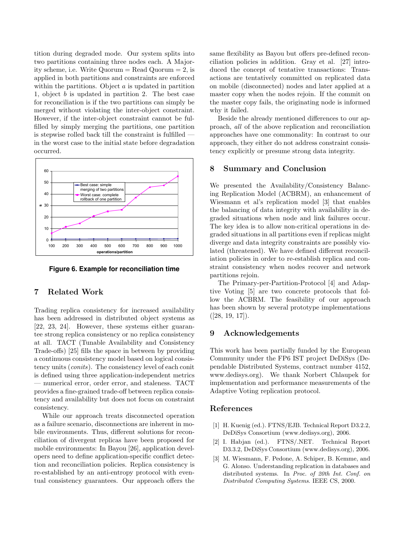tition during degraded mode. Our system splits into two partitions containing three nodes each. A Majority scheme, i.e. Write Quorum = Read Quorum = 2, is applied in both partitions and constraints are enforced within the partitions. Object *a* is updated in partition 1, object *b* is updated in partition 2. The best case for reconciliation is if the two partitions can simply be merged without violating the inter-object constraint. However, if the inter-object constraint cannot be fulfilled by simply merging the partitions, one partition is stepwise rolled back till the constraint is fulfilled in the worst case to the initial state before degradation occurred.



**Figure 6. Example for reconciliation time**

## **7 Related Work**

Trading replica consistency for increased availability has been addressed in distributed object systems as [22, 23, 24]. However, these systems either guarantee strong replica consistency or no replica consistency at all. TACT (Tunable Availability and Consistency Trade-offs) [25] fills the space in between by providing a continuous consistency model based on logical consistency units (*conits*). The consistency level of each conit is defined using three application-independent metrics — numerical error, order error, and staleness. TACT provides a fine-grained trade-off between replica consistency and availability but does not focus on constraint consistency.

While our approach treats disconnected operation as a failure scenario, disconnections are inherent in mobile environments. Thus, different solutions for reconciliation of divergent replicas have been proposed for mobile environments: In Bayou [26], application developers need to define application-specific conflict detection and reconciliation policies. Replica consistency is re-established by an anti-entropy protocol with eventual consistency guarantees. Our approach offers the same flexibility as Bayou but offers pre-defined reconciliation policies in addition. Gray et al. [27] introduced the concept of tentative transactions: Transactions are tentatively committed on replicated data on mobile (disconnected) nodes and later applied at a master copy when the nodes rejoin. If the commit on the master copy fails, the originating node is informed why it failed.

Beside the already mentioned differences to our approach, *all* of the above replication and reconciliation approaches have one commonality: In contrast to our approach, they either do not address constraint consistency explicitly or presume strong data integrity.

## **8 Summary and Conclusion**

We presented the Availability/Consistency Balancing Replication Model (ACBRM), an enhancement of Wiesmann et al's replication model [3] that enables the balancing of data integrity with availability in degraded situations when node and link failures occur. The key idea is to allow non-critical operations in degraded situations in all partitions even if replicas might diverge and data integrity constraints are possibly violated (threatened). We have defined different reconciliation policies in order to re-establish replica and constraint consistency when nodes recover and network partitions rejoin.

The Primary-per-Partition-Protocol [4] and Adaptive Voting [5] are two concrete protocols that follow the ACBRM. The feasibility of our approach has been shown by several prototype implementations  $([28, 19, 17])$ .

#### **9 Acknowledgements**

This work has been partially funded by the European Community under the FP6 IST project DeDiSys (Dependable Distributed Systems, contract number 4152, www.dedisys.org). We thank Norbert Chlaupek for implementation and performance measurements of the Adaptive Voting replication protocol.

## **References**

- [1] H. Kuenig (ed.). FTNS/EJB. Technical Report D3.2.2, DeDiSys Consortium (www.dedisys.org), 2006.
- [2] I. Habjan (ed.). FTNS/.NET. Technical Report D3.3.2, DeDiSys Consortium (www.dedisys.org), 2006.
- [3] M. Wiesmann, F. Pedone, A. Schiper, B. Kemme, and G. Alonso. Understanding replication in databases and distributed systems. In *Proc. of 20th Int. Conf. on Distributed Computing Systems*. IEEE CS, 2000.